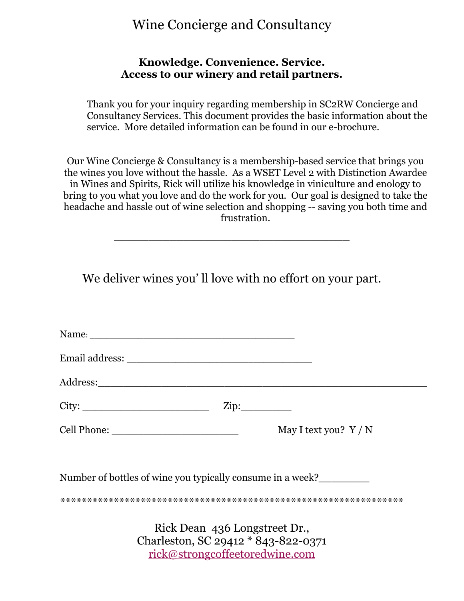#### Wine Concierge and Consultancy

#### **Knowledge. Convenience. Service. Access to our winery and retail partners.**

Thank you for your inquiry regarding membership in SC2RW Concierge and Consultancy Services. This document provides the basic information about the service. More detailed information can be found in our e-brochure.

Our Wine Concierge & Consultancy is a membership-based service that brings you the wines you love without the hassle. As a WSET Level 2 with Distinction Awardee in Wines and Spirits, Rick will utilize his knowledge in viniculture and enology to bring to you what you love and do the work for you. Our goal is designed to take the headache and hassle out of wine selection and shopping -- saving you both time and frustration.

We deliver wines you'll love with no effort on your part.

**\_\_\_\_\_\_\_\_\_\_\_\_\_\_\_\_\_\_\_\_\_\_\_\_\_\_\_\_\_\_\_\_\_\_**

| $City:$ $Zip:$                                                       |                       |
|----------------------------------------------------------------------|-----------------------|
|                                                                      | May I text you? $Y/N$ |
| Number of bottles of wine you typically consume in a week?           |                       |
|                                                                      |                       |
| Rick Dean 436 Longstreet Dr.,<br>Charleston, SC 29412 * 843-822-0371 |                       |

[rick@strongcoffeetoredwine.com](mailto:rick@strongcoffeetoredwine.com)